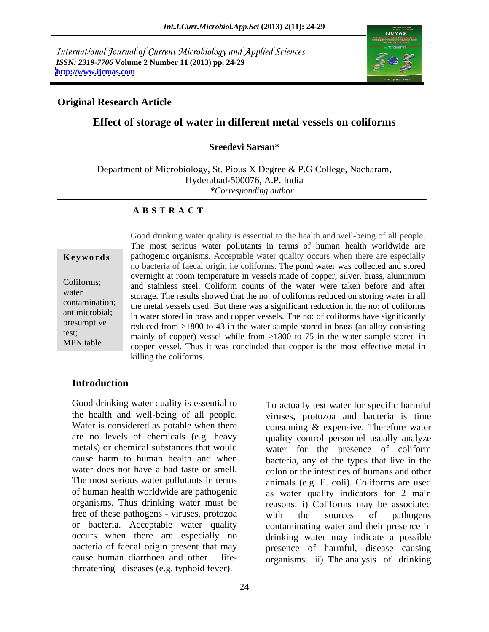International Journal of Current Microbiology and Applied Sciences *ISSN: 2319-7706* **Volume 2 Number 11 (2013) pp. 24-29 <http://www.ijcmas.com>**



## **Original Research Article**

## **Effect of storage of water in different metal vessels on coliforms**

#### **Sreedevi Sarsan\***

Department of Microbiology, St. Pious X Degree & P.G College, Nacharam, Hyderabad-500076, A.P. India *\*Corresponding author*

#### **A B S T R A C T**

**Keywords** pathogenic organisms. Acceptable water quality occurs when there are especially Coliforms; and stainless steel. Coliform counts of the water were taken before and after water<br>storage. The results showed that the no: of coliforms reduced on storing water in all contamination; the metal vessels used. But there was a significant reduction in the no: of coliforms antimicrobial; in water stored in brass and copper vessels. The no: of coliforms have significantly presumptive reduced from >1800 to 43 in the water sample stored in brass (an alloy consisting test;<br>
mainly of copper) vessel while from >1800 to 75 in the water sample stored in MPN table<br>
copper vessel. Thus it was concluded that copper is the most effective metal in Good drinking water quality is essential to the health and well-being of all people. The most serious water pollutants in terms of human health worldwide are no bacteria of faecal origin i.e coliforms. The pond water was collected and stored overnight at room temperature in vessels made of copper, silver, brass, aluminium killing the coliforms.

#### **Introduction**

Good drinking water quality is essential to the health and well-being of all people. Water is considered as potable when there consuming & expensive. Therefore water are no levels of chemicals (e.g. heavy quality control personnel usually analyze metals) or chemical substances that would water for the presence of coliform cause harm to human health and when bacteria, any of the types that live in the water does not have a bad taste or smell. colon or the intestines of humans and other The most serious water pollutants in terms animals (e.g. E. coli). Coliforms are used of human health worldwide are pathogenic organisms. Thus drinking water must be reasons: i) Coliforms may be associated free of these pathogens - viruses, protozoa with the sources of pathogens or bacteria. Acceptable water quality contaminating water and their presence in occurs when there are especially no drinking water may indicate a possible bacteria of faecal origin present that may presence of harmful, disease causing cause human diarrhoea and other life-organisms. ii) The analysis of drinking threatening diseases (e.g. typhoid fever).

viruses, protozoa and bacteria is time as water quality indicators for 2 main with the sources of pathogens

To actually test water for specific harmful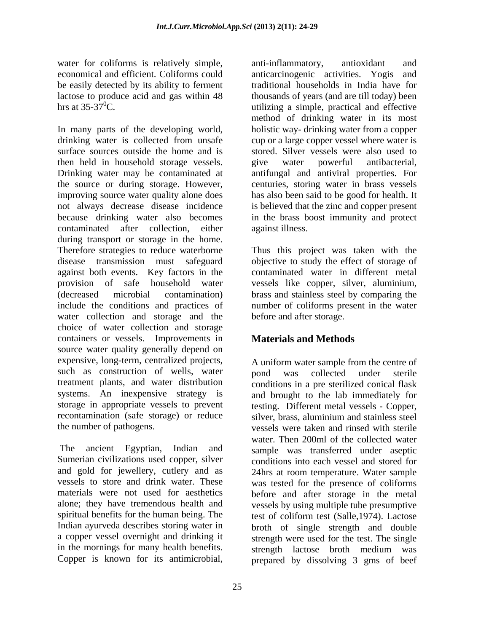water for coliforms is relatively simple, anti-inflammatory, antioxidant and economical and efficient. Coliforms could be easily detected by its ability to ferment

In many parts of the developing world, holistic way- drinking water from a copper drinking water is collected from unsafe cup or a large copper vessel where water is surface sources outside the home and is stored. Silver vessels were also used to then held in household storage vessels. you water powerful antibacterial, Drinking water may be contaminated at antifungal and antiviral properties. For the source or during storage. However, improving source water quality alone does has also been said to be good for health. It not always decrease disease incidence is believed that the zinc and copper present because drinking water also becomes in the brass boost immunity and protect contaminated after collection, either during transport or storage in the home. Therefore strategies to reduce waterborne Thus this project was taken with the disease transmission must safeguard objective to study the effect of storage of against both events. Key factors in the provision of safe household water vessels like copper, silver, aluminium, (decreased microbial contamination) brass and stainless steel by comparing the include the conditions and practices of water collection and storage and the choice of water collection and storage containers or vessels. Improvements in source water quality generally depend on expensive, long-term, centralized projects, expensive, long-term, centralized projects, A uniform water sample from the centre of such as construction of wells, water bond was collected under sterile treatment plants, and water distribution conditions in a pre sterilized conical flask systems. An inexpensive strategy is and brought to the lab immediately for storage in appropriate vessels to prevent testing. Different metal vessels - Copper, recontamination (safe storage) or reduce silver brass, aluminium and stainless steel

and gold for jewellery, cutlery and as Indian ayurveda describes storing water in in the mornings for many health benefits.<br>
Subseteur of the strength lactose broth medium was<br>
strength lactose broth medium was<br>
copper is known for its antimicrobial,<br>
prepared by dissolving 3 gms of beef

lactose to produce acid and gas within 48 thousands of years (and are till today) been hrs at  $35-37^{\circ}$ C. anti-inflammatory, antioxidant and anticarcinogenic activities. Yogis traditional households in India have for method of drinking water in its most give water powerful antibacterial, centuries, storing water in brass vessels against illness.

> contaminated water in different metal number of coliforms present in the water before and after storage.

# **Materials and Methods**

the number of pathogens. vessels were taken and rinsed with sterile The ancient Egyptian, Indian and sample was transferred under aseptic Sumerian civilizations used copper, silver conditions into each vessel and stored for vessels to store and drink water. These was tested for the presence of coliforms materials were not used for aesthetics before and after storage in the metal alone; they have tremendous health and vessels by using multiple tube presumptive spiritual benefits for the human being. The test of coliform test (Salle,1974). Lactose a copper vessel overnight and drinking it strength were used for the test. The single Copper is known for its antimicrobial, prepared by dissolving 3 gms of beefpond was collected under sterile silver, brass, aluminium and stainless steel water. Then 200ml of the collected water 24hrs at room temperature. Water sample broth of single strength and double strength lactose broth medium was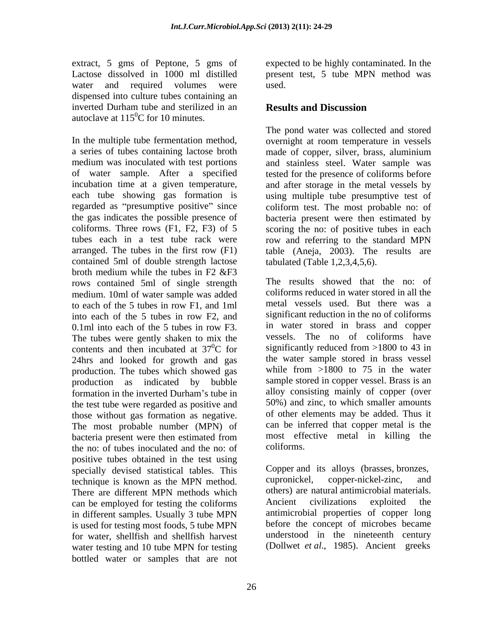extract, 5 gms of Peptone, 5 gms of Lactose dissolved in 1000 ml distilled present test, 5 tube MPN method was water and required volumes were used. dispensed into culture tubes containing an inverted Durham tube and sterilized in an **Results and Discussion** 

a series of tubes containing lactose broth made of copper, silver, brass, aluminium medium was inoculated with test portions and stainless steel. Water sample was of water sample. After a specified incubation time at a given temperature, each tube showing gas formation is using multiple tube presumptive test of regarded as "presumptive positive" since coliform test. The most probable no: of the gas indicates the possible presence of bacteria present were then estimated by coliforms. Three rows (F1, F2, F3) of 5 scoring the no: of positive tubes in each tubes each in a test tube rack were row and referring to the standard MPN arranged. The tubes in the first row (F1) table (Aneja, 2003). The results are contained 5ml of double strength lactose broth medium while the tubes in F2 &F3 rows contained 5ml of single strength medium. 10ml of water sample was added into each of the 5 tubes in row F2, and 0.1ml into each of the 5 tubes in row F3. The tubes were gently shaken to mix the contents and then incubated at  $37^{\circ}$ C for 24hrs and looked for growth and gas production. The tubes which showed gas production as indicated by bubble the test tube were regarded as positive and those without gas formation as negative. The most probable number (MPN) of bacteria present were then estimated from most effective not of the not of the not of coliforms the no: of tubes inoculated and the no: of positive tubes obtained in the test using<br>specially devised statistical tables. This Copper and its alloys (brasses, bronzes, specially devised statistical tables. This Copper and its alloys (brasses, brochonomic specially devised statistical tables. This cupronickel, copper-nickel-zinc, technique is known as the MPN method. There are different MPN methods which the others are natural antimicrobial materials.<br>
can be employed for testing the coliforms Ancient civilizations exploited the can be employed for testing the coliforms in different samples. Usually 3 tube MPN is used for testing most foods, 5 tube MPN for water, shellfish and shellfish harvest water testing and 10 tube MPN for testing bottled water or samples that are not

expected to be highly contaminated. In the used. The contract of the contract of the contract of the contract of the contract of the contract of the contract of the contract of the contract of the contract of the contract of the contract of the contract of the cont

## **Results and Discussion**

autoclave at  $115^0C$  for 10 minutes.<br>In the multiple tube fermentation method,<br>In the multiple tube fermentation method,<br> $\frac{1}{2}$  overnight at room temperature in vessels The pond water was collected and stored overnight at room temperature in vessels tested for the presence of coliforms before and after storage in the metal vessels by tabulated (Table 1,2,3,4,5,6).

to each of the 5 tubes in row F1, and 1ml significantly reduced from  $>1800$  to 43 in formation in the inverted Durham's tube in alloy consisting mainly of copper (over The results showed that the no: of coliforms reduced in water stored in all the metal vessels used. But there was a significant reduction in the no of coliforms in water stored in brass and copper vessels. The no of coliforms have significantly reduced from >1800 to 43 in the water sample stored in brass vessel while from  $>1800$  to 75 in the water sample stored in copper vessel. Brass is an alloy consisting mainly of copper (over 50%) and zinc, to which smaller amounts of other elements may be added. Thus it can be inferred that copper metal is the most effective metal in killing the coliforms.

> Copper and its alloys (brasses, bronzes,<br>cupronickel, copper-nickel-zinc, and others) are natural antimicrobial materials. Ancient civilizations exploited the antimicrobial properties of copper long before the concept of microbes became understood in the nineteenth century (Dollwet *et al*., 1985). Ancient greeks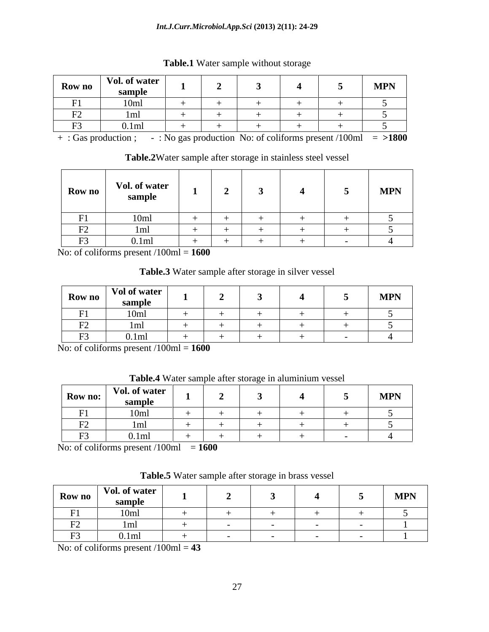#### *Int.J.Curr.Microbiol.App.Sci* **(2013) 2(11): 24-29**

| Row no                                                                     | Vol. of water<br>$\sum_{n=1}^{\infty}$ |  |  | <b>MDN</b><br><b>IATL TA</b> |
|----------------------------------------------------------------------------|----------------------------------------|--|--|------------------------------|
| $T = 4$                                                                    | $\sim$                                 |  |  |                              |
| $\mathbf{r}$<br>$\sqrt{2}$<br>the control of the control of the control of |                                        |  |  |                              |
| $\mathbf{r}$                                                               |                                        |  |  |                              |

**Table.1** Water sample without storage

+ : Gas production ; - : No gas production No: of coliforms present /100ml = **>1800**

**Table.2**Water sample after storage in stainless steel vessel

|                          | Row no<br>sample | Vol. of water |  |  | <b>MPN</b> |
|--------------------------|------------------|---------------|--|--|------------|
|                          |                  |               |  |  |            |
| $\mathbf{1}$             |                  |               |  |  |            |
| $\Gamma$<br>$\mathbf{1}$ |                  | 0.1ml         |  |  |            |

No: of coliforms present /100ml = **1600**

**Table.3** Water sample after storage in silver vessel

| Row no                 | $\vert$ Vol of water<br>samnle |  |                          | <b>MPN</b> |
|------------------------|--------------------------------|--|--------------------------|------------|
|                        | 10m                            |  | the contract of the con- |            |
| $\mathbf{m}$<br>$\sim$ |                                |  |                          |            |
| $\mathbf{r}$<br>. L 2  | 0.1ml                          |  |                          |            |

No: of coliforms present /100ml = **1600**

| Table.4 Wate<br>$\therefore$ water sample after storage in aluminium vectors.<br>storage in aluminium vessel |  |
|--------------------------------------------------------------------------------------------------------------|--|
|--------------------------------------------------------------------------------------------------------------|--|

| Row no:                                  | Vol. of water<br>sample          |                          |                                 |                             | <b>MPN</b> |
|------------------------------------------|----------------------------------|--------------------------|---------------------------------|-----------------------------|------------|
| E1<br>$\mathbf{1}$ $\mathbf{1}$          | $\sim$<br><b>TAITE</b>           |                          |                                 |                             |            |
| $\mathbf{r}$<br>$\mathbf{I}^{\prime}$    | - 11111                          |                          |                                 |                             |            |
| $\mathbf{a}$<br>$\overline{\phantom{a}}$ | $\sqrt{ }$<br><b>.</b> 0. 1 1111 | the contract of the con- | the contract of the contract of | and the control of the con- |            |

 $\overline{\text{No: of coliforms present}} / 100 \text{ml} = 1600$ 

**Table.5** Water sample after storage in brass vessel

| Row no                            | $\mathbf{r}$<br>Vol. of water<br>.<br>-sample |                               |  |  | <b>MPN</b> |
|-----------------------------------|-----------------------------------------------|-------------------------------|--|--|------------|
| E1<br>$\mathbf{1}$                | 10m<br>1 VIII                                 | and the state of the state of |  |  |            |
| $\mathbf{r}$<br>$\Gamma$ $\angle$ |                                               |                               |  |  |            |
| $-1$<br>$\mathbf{I}^{\cdot}$      | v. HII                                        |                               |  |  |            |

No: of coliforms present /100ml = **43**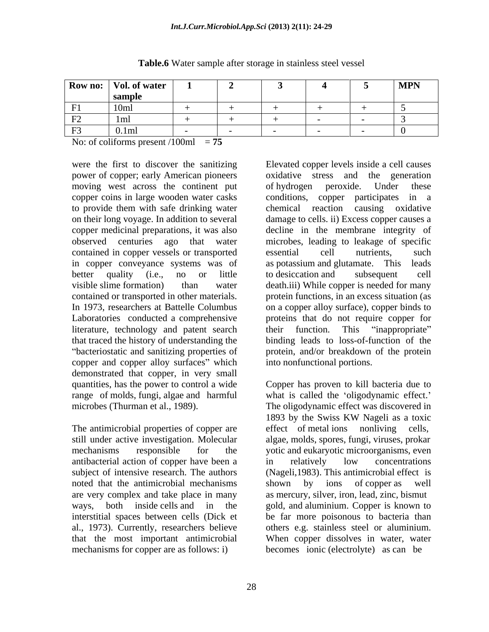|                    | Row no:   Vol. of water |  |                          | <b>MPN</b> |
|--------------------|-------------------------|--|--------------------------|------------|
|                    | -cample<br>$- - - - -$  |  |                          |            |
| . .                | 10ml                    |  | the contract of the con- |            |
| ∩⊐<br>$\mathbf{1}$ | ിക<br>- 1111            |  |                          |            |
| $\mathbf{F}$       | $\pm$ 0.1m              |  |                          |            |

#### **Table.6** Water sample after storage in stainless steel vessel

No: of coliforms present  $/100ml$  = **75** 

were the first to discover the sanitizing power of copper; early American pioneers moving west across the continent put of hydrogen peroxide. Under these copper coins in large wooden water casks conditions, copper participates in a contained in copper vessels or transported in copper conveyance systems was of as potassium and glutamate. This leads literature, technology and patent search their function. This "inappropriate" copper and copper alloy surfaces" which demonstrated that copper, in very small

antibacterial action of copper have been a noted that the antimicrobial mechanisms shown by ions of copper as well are very complex and take place in many mechanisms for copper are as follows: i) becomes ionic (electrolyte) as can be

to provide them with safe drinking water on their long voyage. In addition to several damage to cells. ii) Excess copper causes a copper medicinal preparations, it was also decline in the membrane integrity of observed centuries ago that water microbes, leading to leakage of specific better quality (i.e., no or little to desiccation and subsequent cell visible slime formation) than water death.iii) While copper is needed for many contained or transported in other materials. protein functions, in an excess situation (as In 1973, researchers at Battelle Columbus on a copper alloy surface), copper binds to Laboratories conducted a comprehensive proteins that do not require copper for that traced the history of understanding the binding leads to loss-of-function of the bacteriostatic and sanitizing properties of protein, and/or breakdown of the protein Elevated copper levels inside a cell causes oxidative stress and the generation of hydrogen peroxide. Under these conditions, copper participates in a chemical reaction causing oxidative essential cell nutrients, such as potassium and glutamate. This leads to desiccation and subsequent cell their function. This "inappropriate" into nonfunctional portions.

quantities, has the power to control a wide Copper has proven to kill bacteria due to range of molds, fungi, algae and harmful what is called the 'oligodynamic effect.' microbes (Thurman et al., 1989). The oligodynamic effect was discovered in The antimicrobial properties of copper are effect of metal ions nonliving cells, still under active investigation. Molecular algae, molds, spores, fungi, viruses, prokar mechanisms responsible for the yotic and eukaryotic microorganisms, even subject of intensive research. The authors (Nageli,1983). This antimicrobial effect is ways, both inside cells and in the gold, and aluminium. Copper is known to interstitial spaces between cells (Dick et be far more poisonous to bacteria than al., 1973). Currently, researchers believe others e.g. stainless steel or aluminium. that the most important antimicrobial When copper dissolves in water, water 1893 by the Swiss KW Nageli as a toxic in relatively low concentrations shown by ions of copper as well as mercury, silver, iron, lead, zinc, bismut